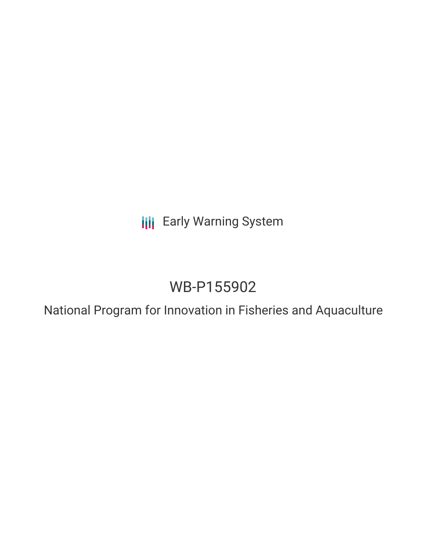**III** Early Warning System

# WB-P155902

National Program for Innovation in Fisheries and Aquaculture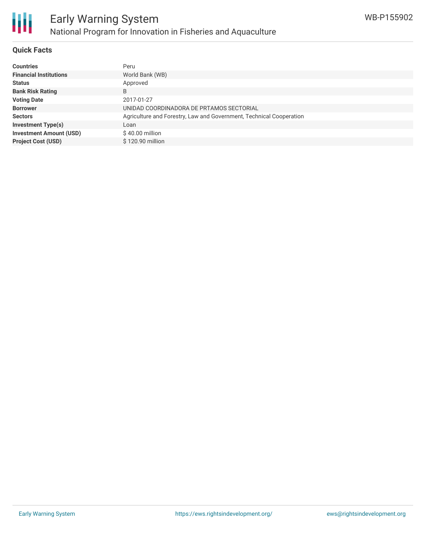

#### **Quick Facts**

朋

| <b>Countries</b>               | Peru                                                                |
|--------------------------------|---------------------------------------------------------------------|
| <b>Financial Institutions</b>  | World Bank (WB)                                                     |
| <b>Status</b>                  | Approved                                                            |
| <b>Bank Risk Rating</b>        | B                                                                   |
| <b>Voting Date</b>             | 2017-01-27                                                          |
| <b>Borrower</b>                | UNIDAD COORDINADORA DE PRTAMOS SECTORIAL                            |
| <b>Sectors</b>                 | Agriculture and Forestry, Law and Government, Technical Cooperation |
| <b>Investment Type(s)</b>      | Loan                                                                |
| <b>Investment Amount (USD)</b> | $$40.00$ million                                                    |
| <b>Project Cost (USD)</b>      | \$120.90 million                                                    |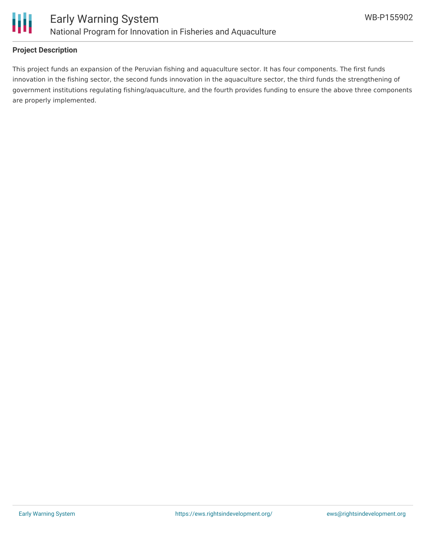

### **Project Description**

This project funds an expansion of the Peruvian fishing and aquaculture sector. It has four components. The first funds innovation in the fishing sector, the second funds innovation in the aquaculture sector, the third funds the strengthening of government institutions regulating fishing/aquaculture, and the fourth provides funding to ensure the above three components are properly implemented.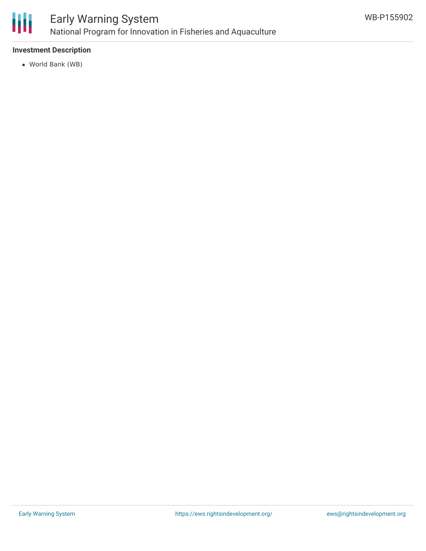

#### **Investment Description**

World Bank (WB)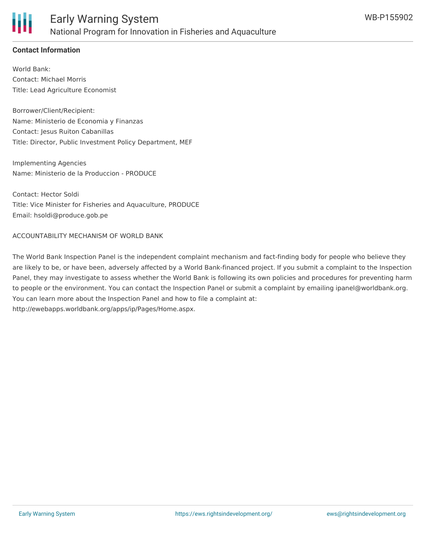

## **Contact Information**

World Bank: Contact: Michael Morris Title: Lead Agriculture Economist

Borrower/Client/Recipient: Name: Ministerio de Economia y Finanzas Contact: Jesus Ruiton Cabanillas Title: Director, Public Investment Policy Department, MEF

Implementing Agencies Name: Ministerio de la Produccion - PRODUCE

Contact: Hector Soldi Title: Vice Minister for Fisheries and Aquaculture, PRODUCE Email: hsoldi@produce.gob.pe

ACCOUNTABILITY MECHANISM OF WORLD BANK

The World Bank Inspection Panel is the independent complaint mechanism and fact-finding body for people who believe they are likely to be, or have been, adversely affected by a World Bank-financed project. If you submit a complaint to the Inspection Panel, they may investigate to assess whether the World Bank is following its own policies and procedures for preventing harm to people or the environment. You can contact the Inspection Panel or submit a complaint by emailing ipanel@worldbank.org. You can learn more about the Inspection Panel and how to file a complaint at: http://ewebapps.worldbank.org/apps/ip/Pages/Home.aspx.